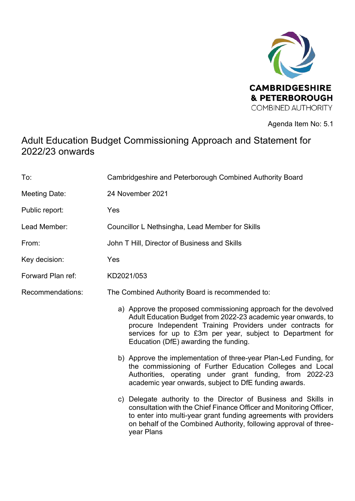

Agenda Item No: 5.1

# Adult Education Budget Commissioning Approach and Statement for 2022/23 onwards

| To: | Cambridgeshire and Peterborough Combined Authority Board |  |
|-----|----------------------------------------------------------|--|
|     |                                                          |  |

- Meeting Date: 24 November 2021
- Public report: Yes
- Lead Member: Councillor L Nethsingha, Lead Member for Skills
- From: John T Hill, Director of Business and Skills
- Key decision: Yes
- Forward Plan ref: KD2021/053
- Recommendations: The Combined Authority Board is recommended to:
	- a) Approve the proposed commissioning approach for the devolved Adult Education Budget from 2022-23 academic year onwards, to procure Independent Training Providers under contracts for services for up to £3m per year, subject to Department for Education (DfE) awarding the funding.
	- b) Approve the implementation of three-year Plan-Led Funding, for the commissioning of Further Education Colleges and Local Authorities, operating under grant funding, from 2022-23 academic year onwards, subject to DfE funding awards.
	- c) Delegate authority to the Director of Business and Skills in consultation with the Chief Finance Officer and Monitoring Officer, to enter into multi-year grant funding agreements with providers on behalf of the Combined Authority, following approval of threeyear Plans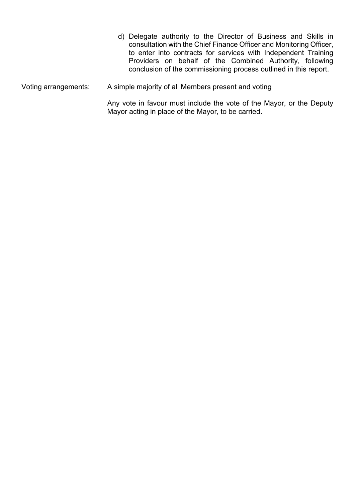|                      | d) Delegate authority to the Director of Business and Skills in<br>consultation with the Chief Finance Officer and Monitoring Officer,<br>to enter into contracts for services with Independent Training<br>Providers on behalf of the Combined Authority, following<br>conclusion of the commissioning process outlined in this report. |  |  |
|----------------------|------------------------------------------------------------------------------------------------------------------------------------------------------------------------------------------------------------------------------------------------------------------------------------------------------------------------------------------|--|--|
| Voting arrangements: | A simple majority of all Members present and voting                                                                                                                                                                                                                                                                                      |  |  |
|                      | Any vote in favour must include the vote of the Mayor, or the Deputy                                                                                                                                                                                                                                                                     |  |  |

Mayor acting in place of the Mayor, to be carried.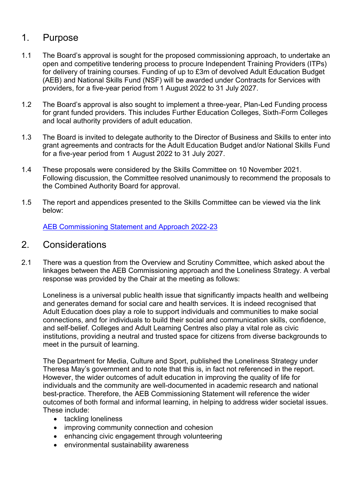# 1. Purpose

- 1.1 The Board's approval is sought for the proposed commissioning approach, to undertake an open and competitive tendering process to procure Independent Training Providers (ITPs) for delivery of training courses. Funding of up to £3m of devolved Adult Education Budget (AEB) and National Skills Fund (NSF) will be awarded under Contracts for Services with providers, for a five-year period from 1 August 2022 to 31 July 2027.
- 1.2 The Board's approval is also sought to implement a three-year, Plan-Led Funding process for grant funded providers. This includes Further Education Colleges, Sixth-Form Colleges and local authority providers of adult education.
- 1.3 The Board is invited to delegate authority to the Director of Business and Skills to enter into grant agreements and contracts for the Adult Education Budget and/or National Skills Fund for a five-year period from 1 August 2022 to 31 July 2027.
- 1.4 These proposals were considered by the Skills Committee on 10 November 2021. Following discussion, the Committee resolved unanimously to recommend the proposals to the Combined Authority Board for approval.
- 1.5 The report and appendices presented to the Skills Committee can be viewed via the link below:

[AEB Commissioning Statement and Approach 2022-23](https://cambridgeshirepeterboroughcagov.cmis.uk.com/Document.ashx?czJKcaeAi5tUFL1DTL2UE4zNRBcoShgo=9RNICUycFr3SKeuCOaSIMlDYQpQV5ugr19xjFuH%2bd6%2bKV%2bHsV%2bvovg%3d%3d&rUzwRPf%2bZ3zd4E7Ikn8Lyw%3d%3d=pwRE6AGJFLDNlh225F5QMaQWCtPHwdhUfCZ%2fLUQzgA2uL5jNRG4jdQ%3d%3d&mCTIbCubSFfXsDGW9IXnlg%3d%3d=hFflUdN3100%3d&kCx1AnS9%2fpWZQ40DXFvdEw%3d%3d=hFflUdN3100%3d&uJovDxwdjMPoYv%2bAJvYtyA%3d%3d=ctNJFf55vVA%3d&FgPlIEJYlotS%2bYGoBi5olA%3d%3d=NHdURQburHA%3d&d9Qjj0ag1Pd993jsyOJqFvmyB7X0CSQK=ctNJFf55vVA%3d&WGewmoAfeNR9xqBux0r1Q8Za60lavYmz=ctNJFf55vVA%3d&WGewmoAfeNQ16B2MHuCpMRKZMwaG1PaO=ctNJFf55vVA%3d) 

#### 2. Considerations

2.1 There was a question from the Overview and Scrutiny Committee, which asked about the linkages between the AEB Commissioning approach and the Loneliness Strategy. A verbal response was provided by the Chair at the meeting as follows:

 Loneliness is a universal public health issue that significantly impacts health and wellbeing and generates demand for social care and health services. It is indeed recognised that Adult Education does play a role to support individuals and communities to make social connections, and for individuals to build their social and communication skills, confidence, and self-belief. Colleges and Adult Learning Centres also play a vital role as civic institutions, providing a neutral and trusted space for citizens from diverse backgrounds to meet in the pursuit of learning.

 The Department for Media, Culture and Sport, published the Loneliness Strategy under Theresa May's government and to note that this is, in fact not referenced in the report. However, the wider outcomes of adult education in improving the quality of life for individuals and the community are well-documented in academic research and national best-practice. Therefore, the AEB Commissioning Statement will reference the wider outcomes of both formal and informal learning, in helping to address wider societal issues. These include:

- tackling loneliness
- improving community connection and cohesion
- enhancing civic engagement through volunteering
- environmental sustainability awareness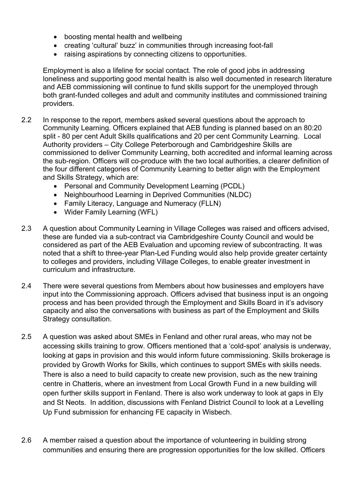- boosting mental health and wellbeing
- creating 'cultural' buzz' in communities through increasing foot-fall
- raising aspirations by connecting citizens to opportunities.

 Employment is also a lifeline for social contact. The role of good jobs in addressing loneliness and supporting good mental health is also well documented in research literature and AEB commissioning will continue to fund skills support for the unemployed through both grant-funded colleges and adult and community institutes and commissioned training providers.

- 2.2 In response to the report, members asked several questions about the approach to Community Learning. Officers explained that AEB funding is planned based on an 80:20 split - 80 per cent Adult Skills qualifications and 20 per cent Community Learning. Local Authority providers – City College Peterborough and Cambridgeshire Skills are commissioned to deliver Community Learning, both accredited and informal learning across the sub-region. Officers will co-produce with the two local authorities, a clearer definition of the four different categories of Community Learning to better align with the Employment and Skills Strategy, which are:
	- Personal and Community Development Learning (PCDL)
	- Neighbourhood Learning in Deprived Communities (NLDC)
	- Family Literacy, Language and Numeracy (FLLN)
	- Wider Family Learning (WFL)
- 2.3 A question about Community Learning in Village Colleges was raised and officers advised, these are funded via a sub-contract via Cambridgeshire County Council and would be considered as part of the AEB Evaluation and upcoming review of subcontracting. It was noted that a shift to three-year Plan-Led Funding would also help provide greater certainty to colleges and providers, including Village Colleges, to enable greater investment in curriculum and infrastructure.
- 2.4 There were several questions from Members about how businesses and employers have input into the Commissioning approach. Officers advised that business input is an ongoing process and has been provided through the Employment and Skills Board in it's advisory capacity and also the conversations with business as part of the Employment and Skills Strategy consultation.
- 2.5 A question was asked about SMEs in Fenland and other rural areas, who may not be accessing skills training to grow. Officers mentioned that a 'cold-spot' analysis is underway, looking at gaps in provision and this would inform future commissioning. Skills brokerage is provided by Growth Works for Skills, which continues to support SMEs with skills needs. There is also a need to build capacity to create new provision, such as the new training centre in Chatteris, where an investment from Local Growth Fund in a new building will open further skills support in Fenland. There is also work underway to look at gaps in Ely and St Neots. In addition, discussions with Fenland District Council to look at a Levelling Up Fund submission for enhancing FE capacity in Wisbech.
- 2.6 A member raised a question about the importance of volunteering in building strong communities and ensuring there are progression opportunities for the low skilled. Officers